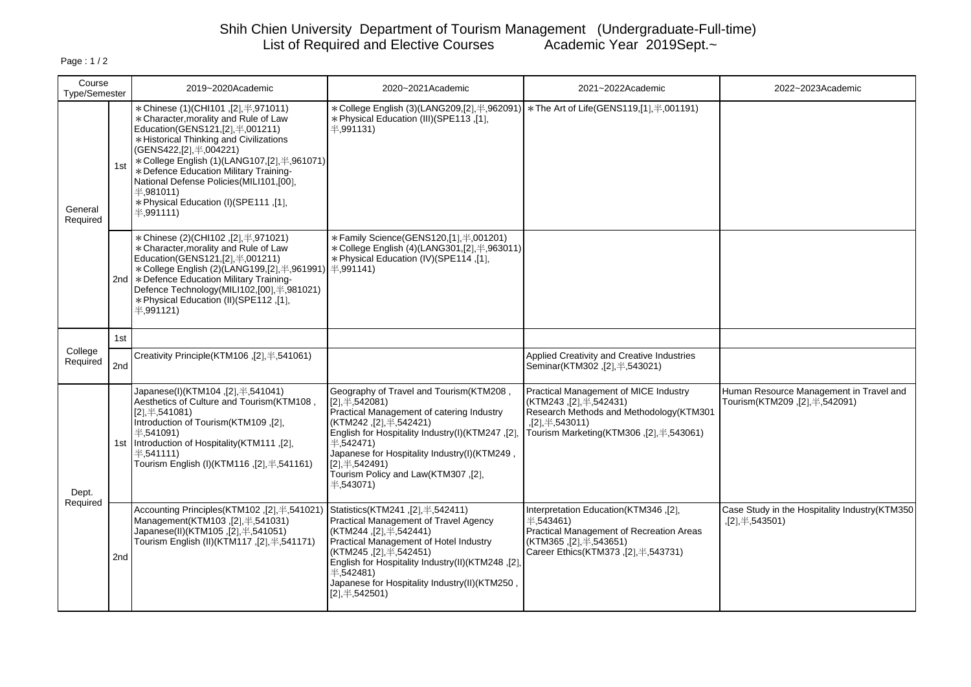# Shih Chien University Department of Tourism Management (Undergraduate-Full-time) List of Required and Elective Courses Academic Year 2019Sept.~

| Course<br>Type/Semester |     | 2019~2020Academic                                                                                                                                                                                                                                                                                                                                                                                          | 2020~2021Academic                                                                                                                                                                                                                                                                                                                       | 2021~2022Academic                                                                                                                                                                      | 2022~2023Academic                                                        |
|-------------------------|-----|------------------------------------------------------------------------------------------------------------------------------------------------------------------------------------------------------------------------------------------------------------------------------------------------------------------------------------------------------------------------------------------------------------|-----------------------------------------------------------------------------------------------------------------------------------------------------------------------------------------------------------------------------------------------------------------------------------------------------------------------------------------|----------------------------------------------------------------------------------------------------------------------------------------------------------------------------------------|--------------------------------------------------------------------------|
| General<br>Required     | 1st | * Chinese (1)(CHI101, [2], #,971011)<br>* Character, morality and Rule of Law<br>Education(GENS121, [2], 半, 001211)<br>* Historical Thinking and Civilizations<br>(GENS422, [2], 半, 004221)<br>*College English (1)(LANG107, [2], \times 4,961071)<br>* Defence Education Military Training-<br>National Defense Policies (MILI101, [00].<br>4,981011<br>* Physical Education (I)(SPE111, [1],<br>4.991111 | *College English (3)(LANG209,[2], ¥,962091<br>* Physical Education (III)(SPE113,[1],<br>半.991131)                                                                                                                                                                                                                                       | * The Art of Life(GENS119,[1], \#,001191)                                                                                                                                              |                                                                          |
|                         |     | * Chinese (2)(CHI102, [2], #, 971021)<br>* Character, morality and Rule of Law<br>Education(GENS121,[2], 半,001211)<br>*College English (2)(LANG199, [2], #, 961991)   #, 991141)<br>2nd   * Defence Education Military Training-<br>Defence Technology(MILI102,[00],半,981021)<br>* Physical Education (II) (SPE112, [1],<br>$\pm$ ,991121)                                                                 | * Family Science(GENS120,[1], 半,001201)<br>* College English (4)(LANG301,[2], #,963011)<br>* Physical Education (IV)(SPE114, [1],                                                                                                                                                                                                       |                                                                                                                                                                                        |                                                                          |
|                         | 1st |                                                                                                                                                                                                                                                                                                                                                                                                            |                                                                                                                                                                                                                                                                                                                                         |                                                                                                                                                                                        |                                                                          |
| College<br>Required     | 2nd | Creativity Principle(KTM106,[2], $\neq$ ,541061)                                                                                                                                                                                                                                                                                                                                                           |                                                                                                                                                                                                                                                                                                                                         | Applied Creativity and Creative Industries<br>Seminar(KTM302, [2], $\neq$ , 543021)                                                                                                    |                                                                          |
| Dept.<br>Required       |     | Japanese(I)(KTM104, [2], $\neq$ , 541041)<br>Aesthetics of Culture and Tourism(KTM108,<br>$[2], \pm, 541081$<br>.[2], Introduction of Tourism(KTM109<br>#,541091)<br>1st Introduction of Hospitality (KTM111, [2],<br>$\pm$ ,541111)<br>Tourism English (I)(KTM116, [2], \times, 541161)                                                                                                                   | Geography of Travel and Tourism(KTM208,<br>$[2], \pm, 542081$<br>Practical Management of catering Industry<br>(KTM242, [2], $\#$ , 542421)<br>English for Hospitality Industry(I)(KTM247,[2]<br>$\pm .542471$<br>Japanese for Hospitality Industry(I)(KTM249,<br>$[2],$ $\#$ ,542491)<br>Tourism Policy and Law(KTM307,[2],<br>4,543071 | Practical Management of MICE Industry<br>(KTM243 ,[2],\#,542431)<br>Research Methods and Methodology (KTM301<br>$, [2], \pm, 543011)$<br>Tourism Marketing(KTM306,[2], $\neq$ ,543061) | Human Resource Management in Travel and<br>Tourism(KTM209,[2], ¥,542091) |
|                         | 2nd | Accounting Principles(KTM102,[2], \#,541021)<br>Management(KTM103,[2], ¥,541031)<br>Japanese(II)(KTM105,[2], #,541051)<br>Tourism English (II)(KTM117, [2], 4,541171)                                                                                                                                                                                                                                      | Statistics(KTM241,[2], ¥,542411)<br>Practical Management of Travel Agency<br>(KTM244, [2], \., \., 542441)<br>Practical Management of Hotel Industry<br>(KTM245, [2], $\#$ , 542451)<br>English for Hospitality Industry(II)(KTM248,[2]<br>4.542481<br>Japanese for Hospitality Industry(II)(KTM250<br>$[2], \pm, 542501)$              | Interpretation Education(KTM346,[2],<br>4.543461<br>Practical Management of Recreation Areas<br>(KTM365, [2], \., 543651)<br>Career Ethics(KTM373, [2], $\neq$ , 543731)               | Case Study in the Hospitality Industry(KTM350<br>,[2], $\#$ , 543501)    |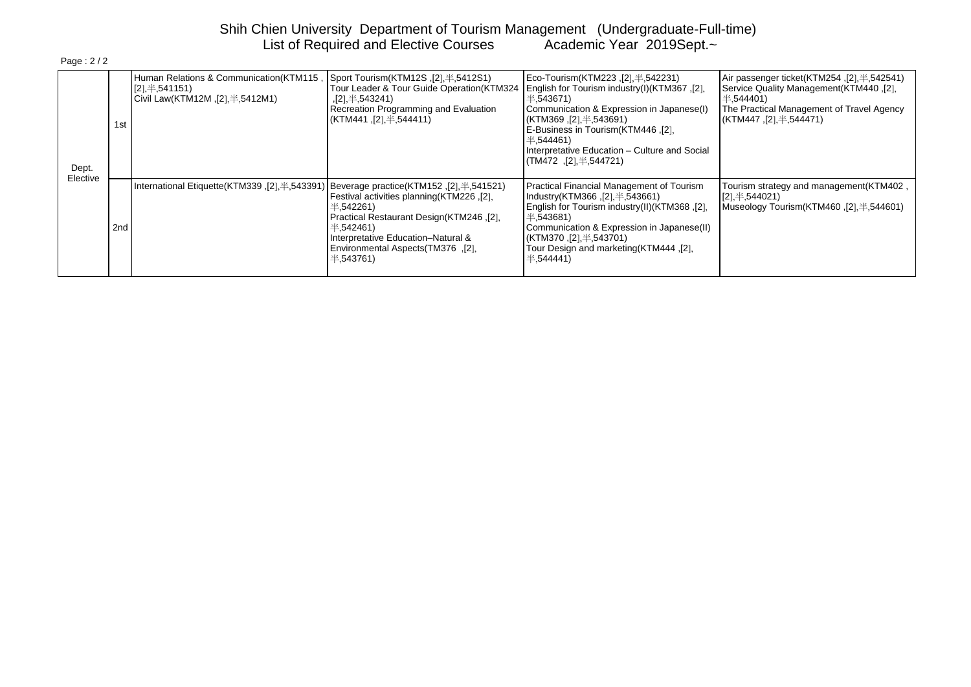# Shih Chien University Department of Tourism Management (Undergraduate-Full-time) List of Required and Elective Courses Academic Year 2019Sept.~

| Dept.<br>Elective | 1st             | Human Relations & Communication(KTM115,<br>$\sqrt{2}$ , $\#$ , 541151)<br>Civil Law(KTM12M, $[2]$ , $\#$ ,5412M1) | Sport Tourism(KTM12S $,I21, \pm 5412$ S1)<br>Tour Leader & Tour Guide Operation(KTM324<br>$,[2]$ $\#$ 543241)<br>Recreation Programming and Evaluation<br>(KTM441, [2], $\#$ , 544411)                       | Eco-Tourism(KTM223 .[2], #.542231)<br>[2], English for Tourism industry(I)(KTM367, [2]<br>$\pm$ ,543671)<br>Communication & Expression in Japanese(I)<br>(KTM369 ,[2].半,543691)<br>E-Business in Tourism (KTM446, [2],<br>4.544461<br>Interpretative Education - Culture and Social<br>$(TM472, [2] \# 544721)$ | Air passenger ticket(KTM254, [2], $\neq$ , 542541)<br>Service Quality Management (KTM440, [2],<br>$\pm$ ,544401)<br>The Practical Management of Travel Agency<br>(KTM447 ,[2]. ¥.544471) |
|-------------------|-----------------|-------------------------------------------------------------------------------------------------------------------|--------------------------------------------------------------------------------------------------------------------------------------------------------------------------------------------------------------|-----------------------------------------------------------------------------------------------------------------------------------------------------------------------------------------------------------------------------------------------------------------------------------------------------------------|------------------------------------------------------------------------------------------------------------------------------------------------------------------------------------------|
|                   | 2 <sub>nd</sub> | (1541521), Beverage practice(KTM152) [2], 1541521) International Etiquette(KTM339) [2], 1543391)                  | Festival activities planning (KTM226, [2],<br>半.542261)<br>[2], Practical Restaurant Design(KTM246<br>半.542461)<br>Interpretative Education-Natural &<br>Environmental Aspects (TM376, [2],<br>$\pm .543761$ | Practical Financial Management of Tourism<br>Industry(KTM366, $[2]$ , $\#$ , 543661)<br>[2], English for Tourism industry(II)(KTM368<br>$\pm 543681$<br>Communication & Expression in Japanese(II)<br>(KTM370, [2], ¥, 543701)<br>Tour Design and marketing (KTM444, [2],<br>4.544441                           | Tourism strategy and management(KTM402,<br>$[2]$ $\#$ , 544021)<br>Museology Tourism(KTM460, [2], \pdf. 544601)                                                                          |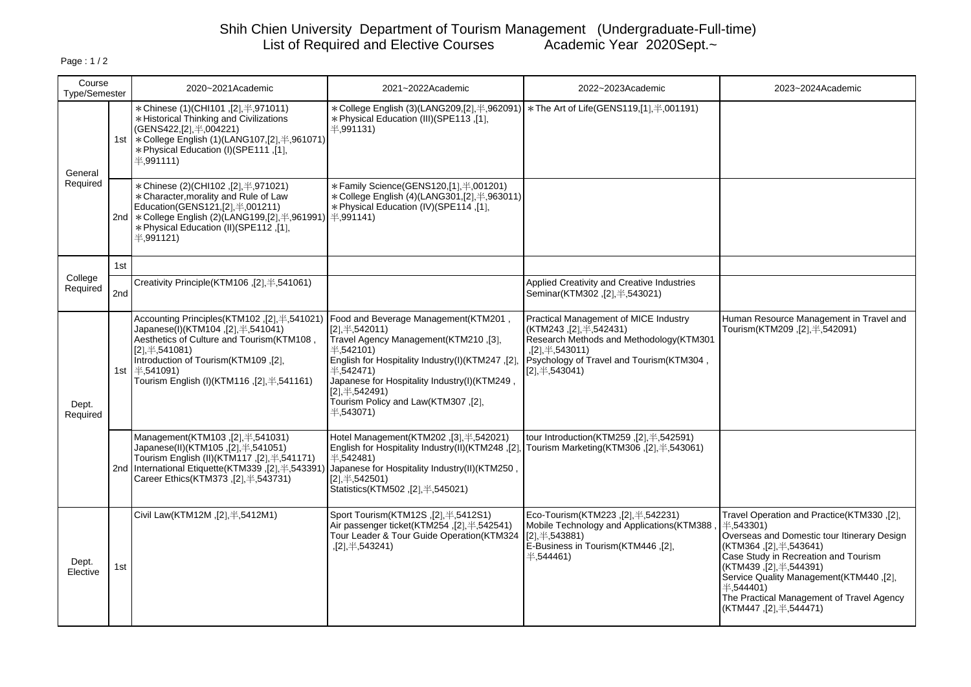# Shih Chien University Department of Tourism Management (Undergraduate-Full-time) List of Required and Elective Courses Academic Year 2020Sept.~

| Course<br>Type/Semester |                 | 2020~2021Academic                                                                                                                                                                                                                                                               | 2021~2022Academic                                                                                                                                                                                                                                                                                              | 2022~2023Academic                                                                                                                                                                                           | 2023~2024Academic                                                                                                                                                                                                                                                                                                                            |
|-------------------------|-----------------|---------------------------------------------------------------------------------------------------------------------------------------------------------------------------------------------------------------------------------------------------------------------------------|----------------------------------------------------------------------------------------------------------------------------------------------------------------------------------------------------------------------------------------------------------------------------------------------------------------|-------------------------------------------------------------------------------------------------------------------------------------------------------------------------------------------------------------|----------------------------------------------------------------------------------------------------------------------------------------------------------------------------------------------------------------------------------------------------------------------------------------------------------------------------------------------|
| General<br>Required     |                 | * Chinese (1)(CHI101, [2], #,971011)<br>* Historical Thinking and Civilizations<br>(GENS422, [2], 半, 004221)<br>1st   * College English (1)(LANG107, [2], \times, 961071)<br>* Physical Education (I) (SPE111, [1],<br>$\pm$ ,991111)                                           | *College English (3)(LANG209,[2],半,962091)   *The Art of Life(GENS119,[1],半,001191)<br>* Physical Education (III) (SPE113, [1]<br>4.991131                                                                                                                                                                     |                                                                                                                                                                                                             |                                                                                                                                                                                                                                                                                                                                              |
|                         |                 | * Chinese (2)(CHI102, [2], #, 971021)<br>* Character, morality and Rule of Law<br>Education(GENS121, [2], 半, 001211)<br>2nd   * College English (2)(LANG199, [2], $\neq$ , 961991)   $\neq$ , 991141)<br>* Physical Education (II)(SPE112,[1],<br>#991121                       | * Family Science(GENS120,[1], \times,001201)<br>* College English (4)(LANG301,[2], #,963011)<br>* Physical Education (IV) (SPE114 .[1]                                                                                                                                                                         |                                                                                                                                                                                                             |                                                                                                                                                                                                                                                                                                                                              |
|                         | 1st             |                                                                                                                                                                                                                                                                                 |                                                                                                                                                                                                                                                                                                                |                                                                                                                                                                                                             |                                                                                                                                                                                                                                                                                                                                              |
| College<br>Required     | 2 <sub>nd</sub> | Creativity Principle(KTM106,[2], $\neq$ ,541061)                                                                                                                                                                                                                                |                                                                                                                                                                                                                                                                                                                | Applied Creativity and Creative Industries<br>Seminar(KTM302, [2], $\neq$ , 543021)                                                                                                                         |                                                                                                                                                                                                                                                                                                                                              |
| Dept.<br>Required       |                 | Accounting Principles(KTM102, [2], $\neq$ , 541021)<br>Japanese(I)(KTM104, [2], $\neq$ , 541041)<br>Aesthetics of Culture and Tourism(KTM108,<br>$[2], \pm$ , 541081)<br>Introduction of Tourism(KTM109,[2],<br>1st   半,541091)<br>Tourism English (I)(KTM116, [2], \#, 541161) | Food and Beverage Management (KTM201,<br>$[2], \pm, 542011)$<br>Travel Agency Management(KTM210,[3],<br>4.542101<br>English for Hospitality Industry(I)(KTM247,[2].<br>4.542471<br>Japanese for Hospitality Industry(I)(KTM249,<br>$[2],$ $\#$ ,542491)<br>Tourism Policy and Law(KTM307,[2],<br>$\pm .543071$ | Practical Management of MICE Industry<br>(KTM243, [2], ¥, 542431)<br>Research Methods and Methodology (KTM301<br>$, [2], \pm, 543011)$<br>Psychology of Travel and Tourism (KTM304,<br>$[2],$ $\#$ ,543041) | Human Resource Management in Travel and<br>Tourism(KTM209,[2], #,542091)                                                                                                                                                                                                                                                                     |
|                         |                 | Management(KTM103,[2], ¥,541031)<br>Japanese(II)(KTM105,[2], $\neq$ ,541051)<br>Tourism English (II)(KTM117, [2], #, 541171)<br>2nd   International Etiquette (KTM339, [2], \times 543391<br>Career Ethics(KTM373, [2], #, 543731)                                              | Hotel Management(KTM202,[3], \ftp://3021)<br>English for Hospitality Industry(II)(KTM248,[2],<br>4.542481<br>Japanese for Hospitality Industry(II)(KTM250,<br>$[2],$ $\#$ ,542501)<br>Statistics(KTM502, [2], $\neq$ , 545021)                                                                                 | tour Introduction(KTM259,[2], $\neq$ ,542591)<br>Tourism Marketing(KTM306, [2], \pdf. 543061)                                                                                                               |                                                                                                                                                                                                                                                                                                                                              |
| Dept.<br>Elective       | 1st             | Civil Law(KTM12M, [2], $\#$ , 5412M1)                                                                                                                                                                                                                                           | Sport Tourism(KTM12S, [2], \#, 5412S1)<br>Air passenger ticket(KTM254, [2], \frac{4.542541)<br>Tour Leader & Tour Guide Operation(KTM324<br>$,[2], \pm$ , 543241)                                                                                                                                              | Eco-Tourism(KTM223, [2], \pm .542231)<br>Mobile Technology and Applications (KTM388<br>$[2], \pm$ , 543881)<br>E-Business in Tourism (KTM446, [2].<br>1,544461)                                             | Travel Operation and Practice(KTM330,[2],<br>4.543301<br>Overseas and Domestic tour Itinerary Design<br>(KTM364,[2], ¥,543641)<br>Case Study in Recreation and Tourism<br>(KTM439, [2], $\#$ , 544391)<br>Service Quality Management(KTM440, [2],<br>$\pm$ ,544401)<br>The Practical Management of Travel Agency<br>(KTM447, [2], ¥, 544471) |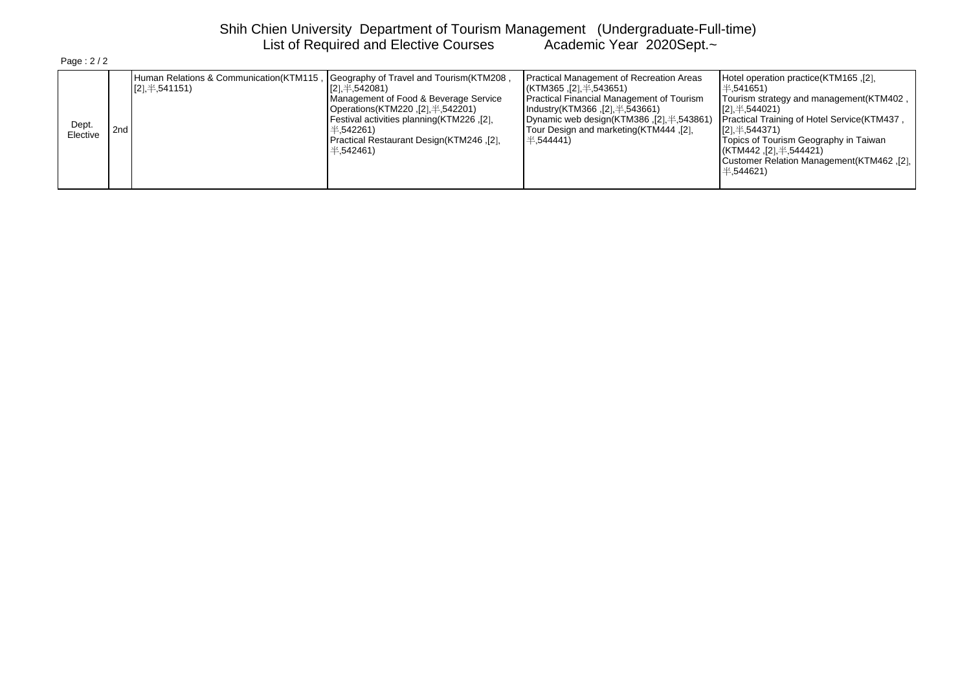# Shih Chien University Department of Tourism Management (Undergraduate-Full-time) List of Required and Elective Courses Academic Year 2020Sept.~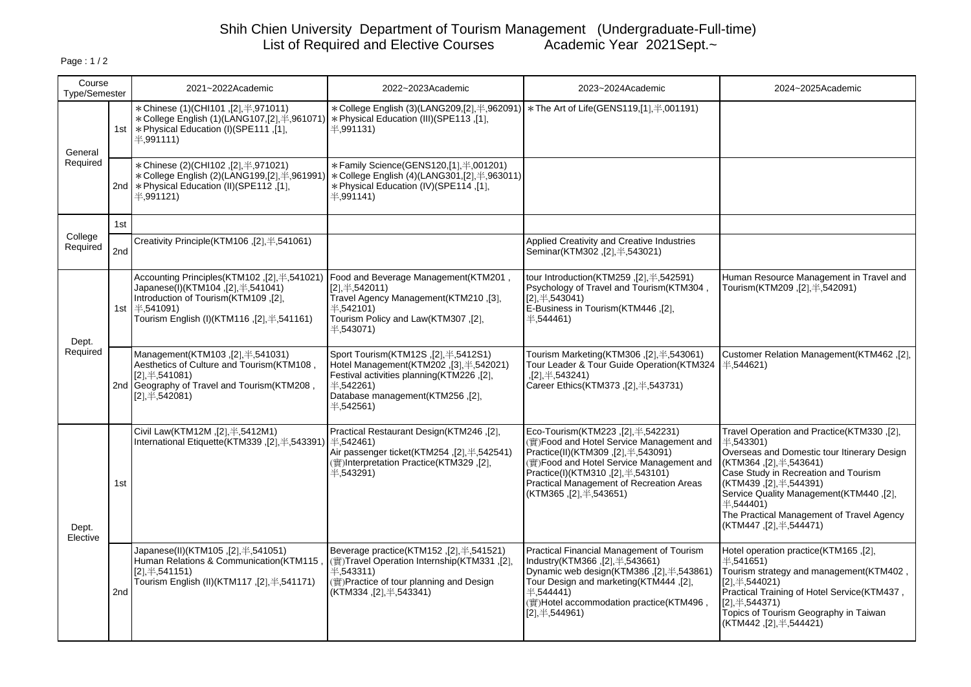# Shih Chien University Department of Tourism Management (Undergraduate-Full-time) List of Required and Elective Courses Academic Year 2021Sept.~

| Course<br><b>Type/Semester</b> |                 | 2021~2022Academic                                                                                                                                                                                                                        | 2022~2023Academic                                                                                                                                                                                                                 | 2023~2024Academic                                                                                                                                                                                                                                                                             | 2024~2025Academic                                                                                                                                                                                                                                                                                                                                          |
|--------------------------------|-----------------|------------------------------------------------------------------------------------------------------------------------------------------------------------------------------------------------------------------------------------------|-----------------------------------------------------------------------------------------------------------------------------------------------------------------------------------------------------------------------------------|-----------------------------------------------------------------------------------------------------------------------------------------------------------------------------------------------------------------------------------------------------------------------------------------------|------------------------------------------------------------------------------------------------------------------------------------------------------------------------------------------------------------------------------------------------------------------------------------------------------------------------------------------------------------|
| General<br>Required            |                 | * Chinese (1)(CHI101,[2], #,971011)<br>$\ast$ College English (1)(LANG107,[2], $\neq$ ,961071) $\ast$ Physical Education (III)(SPE113, [1],<br>1st   * Physical Education (I) (SPE111, [1]<br>4.991111                                   | * College English (3)(LANG209,[2],半,962091)   * The Art of Life(GENS119,[1],半,001191)<br>4.991131                                                                                                                                 |                                                                                                                                                                                                                                                                                               |                                                                                                                                                                                                                                                                                                                                                            |
|                                |                 | * Chinese (2)(CHI102, [2], #, 971021)<br>2nd   * Physical Education (II) (SPE112, [1],<br>4.991121                                                                                                                                       | *Family Science(GENS120,[1], 半,001201)<br>$\star$ College English (2)(LANG199,[2], $\text{\#}$ ,961991) $\mid \star$ College English (4)(LANG301,[2], $\text{\#}$ ,963011)<br>* Physical Education (IV) (SPE114, [1],<br>4.991141 |                                                                                                                                                                                                                                                                                               |                                                                                                                                                                                                                                                                                                                                                            |
|                                | 1st             |                                                                                                                                                                                                                                          |                                                                                                                                                                                                                                   |                                                                                                                                                                                                                                                                                               |                                                                                                                                                                                                                                                                                                                                                            |
| College<br>Required            | 2 <sub>nd</sub> | Creativity Principle(KTM106,[2], #,541061)                                                                                                                                                                                               |                                                                                                                                                                                                                                   | Applied Creativity and Creative Industries<br>Seminar(KTM302,[2], #,543021)                                                                                                                                                                                                                   |                                                                                                                                                                                                                                                                                                                                                            |
| Dept.<br>Required              | 1st             | Accounting Principles(KTM102, [2], \times, 541021) Food and Beverage Management(KTM201,<br>Japanese(I)(KTM104, [2], $\neq$ , 541041)<br>Introduction of Tourism(KTM109,[2],<br>→ 541091)<br>Tourism English (I)(KTM116, [2], \#, 541161) | $[2], \pm, 542011$<br>Travel Agency Management(KTM210,[3],<br>4.542101<br>Tourism Policy and Law(KTM307,[2],<br>$\pm$ ,543071)                                                                                                    | tour Introduction(KTM259,[2], $\neq$ ,542591)<br>Psychology of Travel and Tourism (KTM304,<br>$[2],$ $\#$ ,543041)<br>E-Business in Tourism (KTM446, [2].<br>4.544461                                                                                                                         | Human Resource Management in Travel and<br>Tourism(KTM209,[2], $\ddagger$ ,542091)                                                                                                                                                                                                                                                                         |
|                                |                 | Management(KTM103,[2], #,541031)<br>Aesthetics of Culture and Tourism(KTM108,<br>$[2], \pm, 541081)$<br>2nd Geography of Travel and Tourism (KTM208,<br>$[2], \pm, 542081)$                                                              | Sport Tourism(KTM12S,[2], #,5412S1)<br>Hotel Management(KTM202, [3], \pdf-542021)<br>Festival activities planning(KTM226,[2],<br>$\pm$ ,542261)<br>Database management(KTM256,[2],<br>4,542561                                    | Tourism Marketing(KTM306,[2], #,543061)<br>Tour Leader & Tour Guide Operation(KTM324<br>,[2], $\#$ ,543241)<br>Career Ethics(KTM373, [2], \piddleft, 43731)                                                                                                                                   | Customer Relation Management(KTM462,[2],<br>$\pm$ ,544621)                                                                                                                                                                                                                                                                                                 |
| Dept.<br>Elective              | 1st             | Civil Law(KTM12M,[2], ¥,5412M1)<br>International Etiquette (KTM339, [2], $\neq$ , 543391)                                                                                                                                                | Practical Restaurant Design(KTM246, [2],<br>半.542461)<br>Air passenger ticket(KTM254, [2], \ftps://342541)<br>(實)Interpretation Practice(KTM329, [2]<br>半,543291)                                                                 | Eco-Tourism(KTM223,[2], #, 542231)<br>(實)Food and Hotel Service Management and<br>Practice(II)(KTM309,[2], $\neq$ ,543091)<br>(實)Food and Hotel Service Management and<br>Practice(I)(KTM310,[2], $\neq$ ,543101)<br>Practical Management of Recreation Areas<br>(KTM365, [2], $\#$ , 543651) | Travel Operation and Practice(KTM330,[2],<br>$\pm .543301$<br>Overseas and Domestic tour Itinerary Design<br>(KTM364, [2], $\#$ , 543641)<br>Case Study in Recreation and Tourism<br>(KTM439, [2], $\#$ , 544391)<br>Service Quality Management(KTM440,[2],<br>$\pm$ ,544401)<br>The Practical Management of Travel Agency<br>(KTM447, [2], $\#$ , 544471) |
|                                | 2 <sub>nd</sub> | Japanese(II)(KTM105, [2], $\#$ , 541051)<br>Human Relations & Communication(KTM115<br>$[2], \pm, 541151)$<br>Tourism English (II)(KTM117, [2], #, 541171)                                                                                | Beverage practice(KTM152, [2], $\neq$ , 541521)<br>(實)Travel Operation Internship(KTM331,[2],<br>4.543311<br>(實) Practice of tour planning and Design<br>(KTM334, [2], $\#$ , 543341)                                             | Practical Financial Management of Tourism<br>Industry(KTM366, [2], $\#$ , 543661)<br>Dynamic web design(KTM386, [2], $\neq$ , 543861)<br>Tour Design and marketing (KTM444, [2],<br>4,544441<br>(實)Hotel accommodation practice(KTM496,<br>$[2]$ , $\#$ ,544961)                              | Hotel operation practice(KTM165,[2],<br>$\pm$ ,541651)<br>Tourism strategy and management(KTM402,<br>$[2], \pm 544021$<br>Practical Training of Hotel Service(KTM437,<br>[2], $\#$ , 544371)<br>Topics of Tourism Geography in Taiwan<br>(KTM442, [2], $\#$ , 544421)                                                                                      |